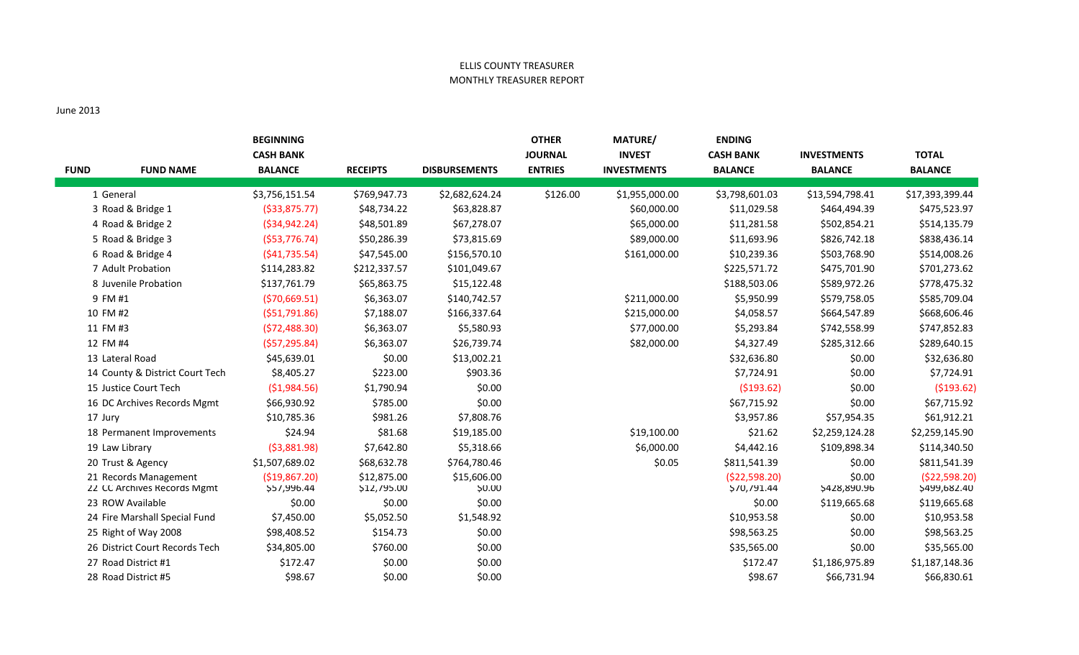## ELLIS COUNTY TREASURER MONTHLY TREASURER REPORT

## June 2013

| <b>FUND</b> | <b>FUND NAME</b>                                     | <b>BEGINNING</b><br><b>CASH BANK</b><br><b>BALANCE</b> | <b>RECEIPTS</b>            | <b>DISBURSEMENTS</b>  | <b>OTHER</b><br><b>JOURNAL</b><br><b>ENTRIES</b> | MATURE/<br><b>INVEST</b><br><b>INVESTMENTS</b> | <b>ENDING</b><br><b>CASH BANK</b><br><b>BALANCE</b> | <b>INVESTMENTS</b><br><b>BALANCE</b> | <b>TOTAL</b><br><b>BALANCE</b> |
|-------------|------------------------------------------------------|--------------------------------------------------------|----------------------------|-----------------------|--------------------------------------------------|------------------------------------------------|-----------------------------------------------------|--------------------------------------|--------------------------------|
|             | 1 General                                            | \$3,756,151.54                                         | \$769,947.73               | \$2,682,624.24        | \$126.00                                         | \$1,955,000.00                                 | \$3,798,601.03                                      | \$13,594,798.41                      | \$17,393,399.44                |
|             | 3 Road & Bridge 1                                    | ( \$33, 875.77)                                        | \$48,734.22                | \$63,828.87           |                                                  | \$60,000.00                                    | \$11,029.58                                         | \$464,494.39                         | \$475,523.97                   |
|             | 4 Road & Bridge 2                                    | ( \$34, 942.24)                                        | \$48,501.89                | \$67,278.07           |                                                  | \$65,000.00                                    | \$11,281.58                                         | \$502,854.21                         | \$514,135.79                   |
|             | 5 Road & Bridge 3                                    | (553, 776.74)                                          | \$50,286.39                | \$73,815.69           |                                                  | \$89,000.00                                    | \$11,693.96                                         | \$826,742.18                         | \$838,436.14                   |
|             | 6 Road & Bridge 4                                    | (541, 735.54)                                          | \$47,545.00                | \$156,570.10          |                                                  | \$161,000.00                                   | \$10,239.36                                         | \$503,768.90                         | \$514,008.26                   |
|             | 7 Adult Probation                                    | \$114,283.82                                           | \$212,337.57               | \$101,049.67          |                                                  |                                                | \$225,571.72                                        | \$475,701.90                         | \$701,273.62                   |
|             | 8 Juvenile Probation                                 | \$137,761.79                                           | \$65,863.75                | \$15,122.48           |                                                  |                                                | \$188,503.06                                        | \$589,972.26                         | \$778,475.32                   |
|             | 9 FM #1                                              | (570, 669.51)                                          | \$6,363.07                 | \$140,742.57          |                                                  | \$211,000.00                                   | \$5,950.99                                          | \$579,758.05                         | \$585,709.04                   |
|             | 10 FM #2                                             | ( \$51,791.86)                                         | \$7,188.07                 | \$166,337.64          |                                                  | \$215,000.00                                   | \$4,058.57                                          | \$664,547.89                         | \$668,606.46                   |
|             | 11 FM #3                                             | (572, 488.30)                                          | \$6,363.07                 | \$5,580.93            |                                                  | \$77,000.00                                    | \$5,293.84                                          | \$742,558.99                         | \$747,852.83                   |
|             | 12 FM #4                                             | (557, 295.84)                                          | \$6,363.07                 | \$26,739.74           |                                                  | \$82,000.00                                    | \$4,327.49                                          | \$285,312.66                         | \$289,640.15                   |
|             | 13 Lateral Road                                      | \$45,639.01                                            | \$0.00                     | \$13,002.21           |                                                  |                                                | \$32,636.80                                         | \$0.00                               | \$32,636.80                    |
|             | 14 County & District Court Tech                      | \$8,405.27                                             | \$223.00                   | \$903.36              |                                                  |                                                | \$7,724.91                                          | \$0.00                               | \$7,724.91                     |
|             | 15 Justice Court Tech                                | (\$1,984.56)                                           | \$1,790.94                 | \$0.00                |                                                  |                                                | ( \$193.62)                                         | \$0.00                               | ( \$193.62)                    |
|             | 16 DC Archives Records Mgmt                          | \$66,930.92                                            | \$785.00                   | \$0.00                |                                                  |                                                | \$67,715.92                                         | \$0.00                               | \$67,715.92                    |
| 17 Jury     |                                                      | \$10,785.36                                            | \$981.26                   | \$7,808.76            |                                                  |                                                | \$3,957.86                                          | \$57,954.35                          | \$61,912.21                    |
|             | 18 Permanent Improvements                            | \$24.94                                                | \$81.68                    | \$19,185.00           |                                                  | \$19,100.00                                    | \$21.62                                             | \$2,259,124.28                       | \$2,259,145.90                 |
|             | 19 Law Library                                       | ( \$3,881.98)                                          | \$7,642.80                 | \$5,318.66            |                                                  | \$6,000.00                                     | \$4,442.16                                          | \$109,898.34                         | \$114,340.50                   |
|             | 20 Trust & Agency                                    | \$1,507,689.02                                         | \$68,632.78                | \$764,780.46          |                                                  | \$0.05                                         | \$811,541.39                                        | \$0.00                               | \$811,541.39                   |
|             | 21 Records Management<br>22 CC Archives Records Mgmt | ( \$19, 867.20)<br>\$57,996.44                         | \$12,875.00<br>\$12,795.00 | \$15,606.00<br>\$0.00 |                                                  |                                                | (\$22,598.20)<br>\$70,791.44                        | \$0.00<br>\$428,890.96               | (\$22,598.20)<br>\$499,682.40  |
|             | 23 ROW Available                                     | \$0.00                                                 | \$0.00                     | \$0.00                |                                                  |                                                | \$0.00                                              | \$119,665.68                         | \$119,665.68                   |
|             | 24 Fire Marshall Special Fund                        | \$7,450.00                                             | \$5,052.50                 | \$1,548.92            |                                                  |                                                | \$10,953.58                                         | \$0.00                               | \$10,953.58                    |
|             | 25 Right of Way 2008                                 | \$98,408.52                                            | \$154.73                   | \$0.00                |                                                  |                                                | \$98,563.25                                         | \$0.00                               | \$98,563.25                    |
|             | 26 District Court Records Tech                       | \$34,805.00                                            | \$760.00                   | \$0.00                |                                                  |                                                | \$35,565.00                                         | \$0.00                               | \$35,565.00                    |
|             | 27 Road District #1                                  | \$172.47                                               | \$0.00                     | \$0.00                |                                                  |                                                | \$172.47                                            | \$1,186,975.89                       | \$1,187,148.36                 |
|             | 28 Road District #5                                  | \$98.67                                                | \$0.00                     | \$0.00                |                                                  |                                                | \$98.67                                             | \$66,731.94                          | \$66,830.61                    |